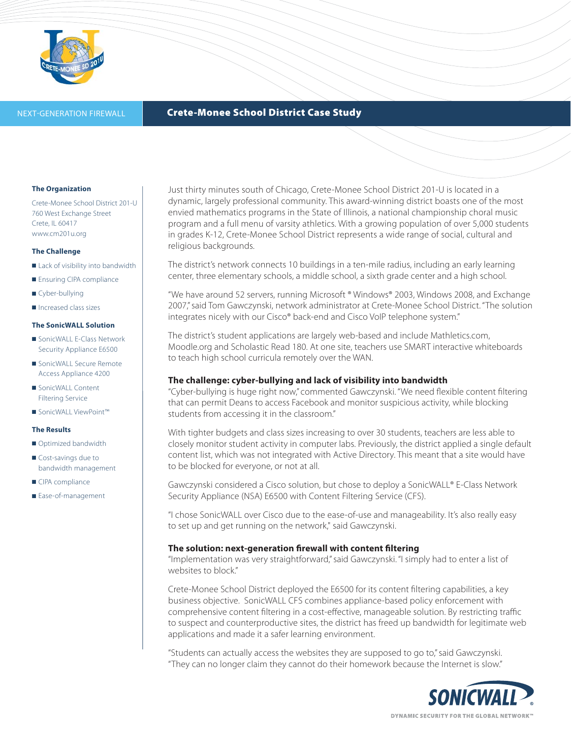

## **NEXT-GENERATION FIREWALL <b>Crete-Monee School District Case Study**

### **The Organization**

Crete-Monee School District 201-U 760 West Exchange Street Crete, IL 60417 www.cm201u.org

## **The Challenge**

- Lack of visibility into bandwidth
- Ensuring CIPA compliance
- Cyber-bullying
- Increased class sizes

# **The SonicWALL Solution**

- SonicWALL E-Class Network Security Appliance E6500
- SonicWALL Secure Remote Access Appliance 4200
- SonicWALL Content Filtering Service
- SonicWALL ViewPoint™

## **The Results**

- Optimized bandwidth
- Cost-savings due to bandwidth management
- CIPA compliance
- Ease-of-management

Just thirty minutes south of Chicago, Crete-Monee School District 201-U is located in a dynamic, largely professional community. This award-winning district boasts one of the most envied mathematics programs in the State of Illinois, a national championship choral music program and a full menu of varsity athletics. With a growing population of over 5,000 students in grades K-12, Crete-Monee School District represents a wide range of social, cultural and religious backgrounds.

The district's network connects 10 buildings in a ten-mile radius, including an early learning center, three elementary schools, a middle school, a sixth grade center and a high school.

"We have around 52 servers, running Microsoft ® Windows® 2003, Windows 2008, and Exchange 2007," said Tom Gawczynski, network administrator at Crete-Monee School District. "The solution integrates nicely with our Cisco® back-end and Cisco VoIP telephone system."

The district's student applications are largely web-based and include Mathletics.com, Moodle.org and Scholastic Read 180. At one site, teachers use SMART interactive whiteboards to teach high school curricula remotely over the WAN.

## **The challenge: cyber-bullying and lack of visibility into bandwidth**

"Cyber-bullying is huge right now," commented Gawczynski. "We need flexible content filtering that can permit Deans to access Facebook and monitor suspicious activity, while blocking students from accessing it in the classroom."

With tighter budgets and class sizes increasing to over 30 students, teachers are less able to closely monitor student activity in computer labs. Previously, the district applied a single default content list, which was not integrated with Active Directory. This meant that a site would have to be blocked for everyone, or not at all.

Gawczynski considered a Cisco solution, but chose to deploy a SonicWALL® E-Class Network Security Appliance (NSA) E6500 with Content Filtering Service (CFS).

"I chose SonicWALL over Cisco due to the ease-of-use and manageability. It's also really easy to set up and get running on the network," said Gawczynski.

## **The solution: next-generation firewall with content filtering**

"Implementation was very straightforward," said Gawczynski. "I simply had to enter a list of websites to block."

Crete-Monee School District deployed the E6500 for its content filtering capabilities, a key business objective. SonicWALL CFS combines appliance-based policy enforcement with comprehensive content filtering in a cost-effective, manageable solution. By restricting traffic to suspect and counterproductive sites, the district has freed up bandwidth for legitimate web applications and made it a safer learning environment.

"Students can actually access the websites they are supposed to go to," said Gawczynski. "They can no longer claim they cannot do their homework because the Internet is slow."